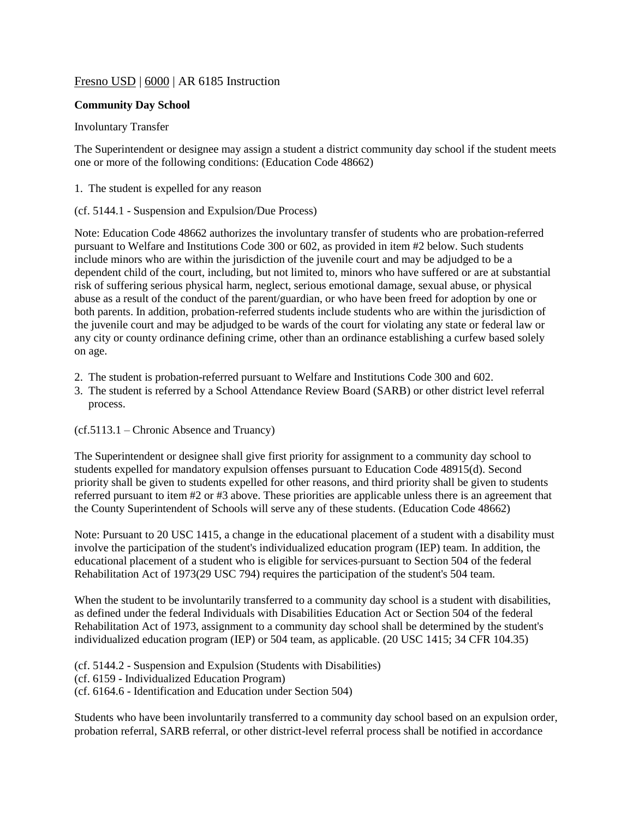# Fresno USD | 6000 | AR 6185 Instruction

## **Community Day School**

### Involuntary Transfer

The Superintendent or designee may assign a student a district community day school if the student meets one or more of the following conditions: (Education Code 48662)

1. The student is expelled for any reason

### (cf. 5144.1 - Suspension and Expulsion/Due Process)

Note: Education Code [48662](http://www.gamutonline.net/displayPolicy/138097/6) authorizes the involuntary transfer of students who are probation-referred pursuant to Welfare and Institutions Code [300](http://www.gamutonline.net/displayPolicy/226436/6) or [602,](http://www.gamutonline.net/displayPolicy/194768/6) as provided in item #2 below. Such students include minors who are within the jurisdiction of the juvenile court and may be adjudged to be a dependent child of the court, including, but not limited to, minors who have suffered or are at substantial risk of suffering serious physical harm, neglect, serious emotional damage, sexual abuse, or physical abuse as a result of the conduct of the parent/guardian, or who have been freed for adoption by one or both parents. In addition, probation-referred students include students who are within the jurisdiction of the juvenile court and may be adjudged to be wards of the court for violating any state or federal law or any city or county ordinance defining crime, other than an ordinance establishing a curfew based solely on age.

- 2. The student is probation-referred pursuant to Welfare and Institutions Code 300 and 602.
- 3. The student is referred by a School Attendance Review Board (SARB) or other district level referral process.

### (cf.5113.1 – Chronic Absence and Truancy)

The Superintendent or designee shall give first priority for assignment to a community day school to students expelled for mandatory expulsion offenses pursuant to Education Code 48915(d). Second priority shall be given to students expelled for other reasons, and third priority shall be given to students referred pursuant to item #2 or #3 above. These priorities are applicable unless there is an agreement that the County Superintendent of Schools will serve any of these students. (Education Code 48662)

Note: Pursuant to 20 USC [1415,](http://www.gamutonline.net/displayPolicy/364374/6) a change in the educational placement of a student with a disability must involve the participation of the student's individualized education program (IEP) team. In addition, the educational placement of a student who is eligible for services pursuant to Section 504 of the federal Rehabilitation Act of 1973(29 USC [794\)](http://www.gamutonline.net/displayPolicy/191053/6) requires the participation of the student's 504 team.

When the student to be involuntarily transferred to a community day school is a student with disabilities, as defined under the federal Individuals with Disabilities Education Act or Section 504 of the federal Rehabilitation Act of 1973, assignment to a community day school shall be determined by the student's individualized education program (IEP) or 504 team, as applicable. (20 USC [1415;](http://www.gamutonline.net/displayPolicy/364374/6) 34 CFR [104.35\)](http://www.gamutonline.net/displayPolicy/191275/6)

(cf. 5144.2 - Suspension and Expulsion (Students with Disabilities) (cf. 6159 - Individualized Education Program) (cf. 6164.6 - Identification and Education under Section 504)

Students who have been involuntarily transferred to a community day school based on an expulsion order, probation referral, SARB referral, or other district-level referral process shall be notified in accordance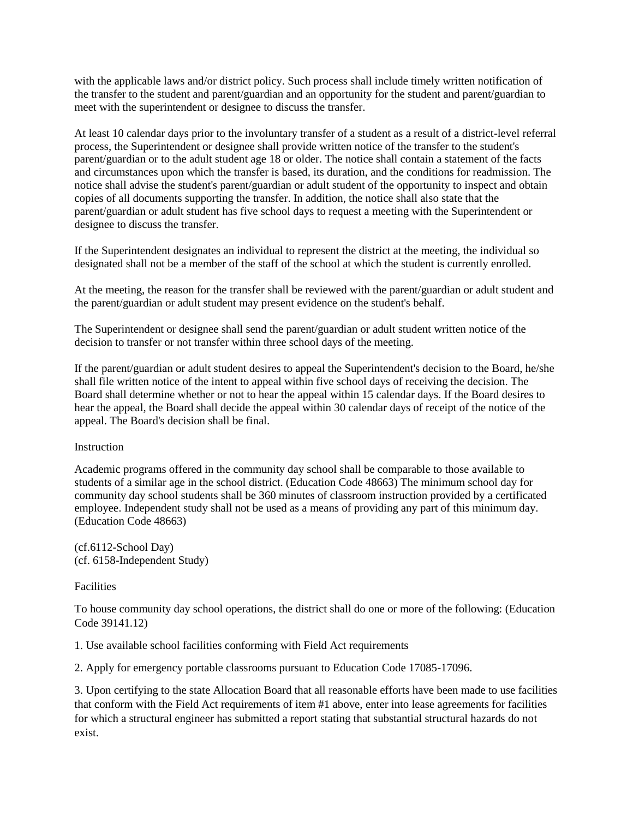with the applicable laws and/or district policy. Such process shall include timely written notification of the transfer to the student and parent/guardian and an opportunity for the student and parent/guardian to meet with the superintendent or designee to discuss the transfer.

At least 10 calendar days prior to the involuntary transfer of a student as a result of a district-level referral process, the Superintendent or designee shall provide written notice of the transfer to the student's parent/guardian or to the adult student age 18 or older. The notice shall contain a statement of the facts and circumstances upon which the transfer is based, its duration, and the conditions for readmission. The notice shall advise the student's parent/guardian or adult student of the opportunity to inspect and obtain copies of all documents supporting the transfer. In addition, the notice shall also state that the parent/guardian or adult student has five school days to request a meeting with the Superintendent or designee to discuss the transfer.

If the Superintendent designates an individual to represent the district at the meeting, the individual so designated shall not be a member of the staff of the school at which the student is currently enrolled.

At the meeting, the reason for the transfer shall be reviewed with the parent/guardian or adult student and the parent/guardian or adult student may present evidence on the student's behalf.

The Superintendent or designee shall send the parent/guardian or adult student written notice of the decision to transfer or not transfer within three school days of the meeting.

If the parent/guardian or adult student desires to appeal the Superintendent's decision to the Board, he/she shall file written notice of the intent to appeal within five school days of receiving the decision. The Board shall determine whether or not to hear the appeal within 15 calendar days. If the Board desires to hear the appeal, the Board shall decide the appeal within 30 calendar days of receipt of the notice of the appeal. The Board's decision shall be final.

#### Instruction

Academic programs offered in the community day school shall be comparable to those available to students of a similar age in the school district. (Education Code 48663) The minimum school day for community day school students shall be 360 minutes of classroom instruction provided by a certificated employee. Independent study shall not be used as a means of providing any part of this minimum day. (Education Code 48663)

(cf.6112-School Day) (cf. 6158-Independent Study)

#### **Facilities**

To house community day school operations, the district shall do one or more of the following: (Education Code 39141.12)

1. Use available school facilities conforming with Field Act requirements

2. Apply for emergency portable classrooms pursuant to Education Code 17085-17096.

3. Upon certifying to the state Allocation Board that all reasonable efforts have been made to use facilities that conform with the Field Act requirements of item #1 above, enter into lease agreements for facilities for which a structural engineer has submitted a report stating that substantial structural hazards do not exist.